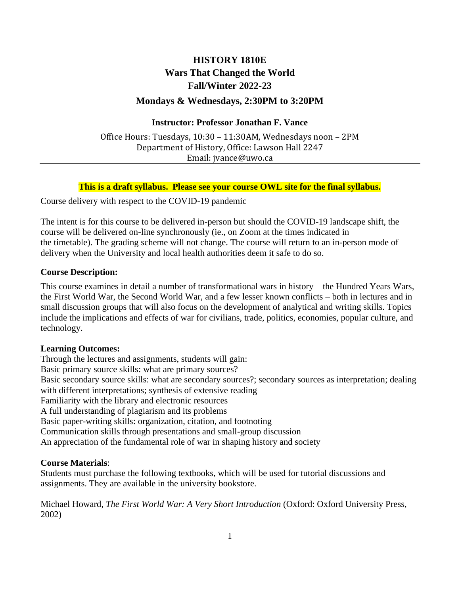# **HISTORY 1810E Wars That Changed the World Fall/Winter 2022-23**

# **Mondays & Wednesdays, 2:30PM to 3:20PM**

### **Instructor: Professor Jonathan F. Vance**

Office Hours: Tuesdays, 10:30 – 11:30AM, Wednesdays noon – 2PM Department of History, Office: Lawson Hall 2247 Email: jvance@uwo.ca

### **This is a draft syllabus. Please see your course OWL site for the final syllabus.**

Course delivery with respect to the COVID-19 pandemic

The intent is for this course to be delivered in-person but should the COVID-19 landscape shift, the course will be delivered on-line synchronously (ie., on Zoom at the times indicated in the timetable). The grading scheme will not change. The course will return to an in-person mode of delivery when the University and local health authorities deem it safe to do so.

### **Course Description:**

This course examines in detail a number of transformational wars in history – the Hundred Years Wars, the First World War, the Second World War, and a few lesser known conflicts – both in lectures and in small discussion groups that will also focus on the development of analytical and writing skills. Topics include the implications and effects of war for civilians, trade, politics, economies, popular culture, and technology.

#### **Learning Outcomes:**

Through the lectures and assignments, students will gain: Basic primary source skills: what are primary sources? Basic secondary source skills: what are secondary sources?; secondary sources as interpretation; dealing with different interpretations; synthesis of extensive reading Familiarity with the library and electronic resources A full understanding of plagiarism and its problems Basic paper-writing skills: organization, citation, and footnoting Communication skills through presentations and small-group discussion An appreciation of the fundamental role of war in shaping history and society

## **Course Materials**:

Students must purchase the following textbooks, which will be used for tutorial discussions and assignments. They are available in the university bookstore.

Michael Howard, *The First World War: A Very Short Introduction* (Oxford: Oxford University Press, 2002)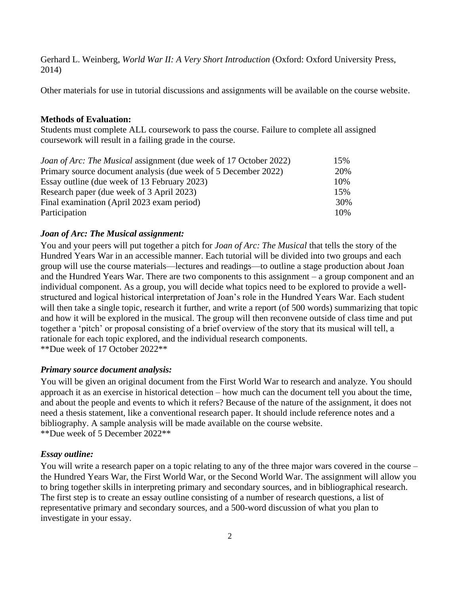Gerhard L. Weinberg, *World War II: A Very Short Introduction* (Oxford: Oxford University Press, 2014)

Other materials for use in tutorial discussions and assignments will be available on the course website.

#### **Methods of Evaluation:**

Students must complete ALL coursework to pass the course. Failure to complete all assigned coursework will result in a failing grade in the course.

| <i>Joan of Arc: The Musical assignment (due week of 17 October 2022)</i> | 15% |
|--------------------------------------------------------------------------|-----|
| Primary source document analysis (due week of 5 December 2022)           | 20% |
| Essay outline (due week of 13 February 2023)                             | 10% |
| Research paper (due week of 3 April 2023)                                | 15% |
| Final examination (April 2023 exam period)                               | 30% |
| Participation                                                            | 10% |

#### *Joan of Arc: The Musical assignment:*

You and your peers will put together a pitch for *Joan of Arc: The Musical* that tells the story of the Hundred Years War in an accessible manner. Each tutorial will be divided into two groups and each group will use the course materials—lectures and readings—to outline a stage production about Joan and the Hundred Years War. There are two components to this assignment – a group component and an individual component. As a group, you will decide what topics need to be explored to provide a wellstructured and logical historical interpretation of Joan's role in the Hundred Years War. Each student will then take a single topic, research it further, and write a report (of 500 words) summarizing that topic and how it will be explored in the musical. The group will then reconvene outside of class time and put together a 'pitch' or proposal consisting of a brief overview of the story that its musical will tell, a rationale for each topic explored, and the individual research components. \*\*Due week of 17 October 2022\*\*

#### *Primary source document analysis:*

You will be given an original document from the First World War to research and analyze. You should approach it as an exercise in historical detection – how much can the document tell you about the time, and about the people and events to which it refers? Because of the nature of the assignment, it does not need a thesis statement, like a conventional research paper. It should include reference notes and a bibliography. A sample analysis will be made available on the course website. \*\*Due week of 5 December 2022\*\*

#### *Essay outline:*

You will write a research paper on a topic relating to any of the three major wars covered in the course – the Hundred Years War, the First World War, or the Second World War. The assignment will allow you to bring together skills in interpreting primary and secondary sources, and in bibliographical research. The first step is to create an essay outline consisting of a number of research questions, a list of representative primary and secondary sources, and a 500-word discussion of what you plan to investigate in your essay.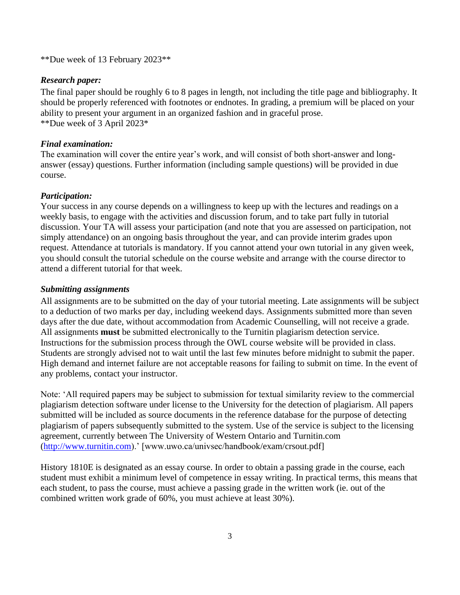\*\*Due week of 13 February 2023\*\*

#### *Research paper:*

The final paper should be roughly 6 to 8 pages in length, not including the title page and bibliography. It should be properly referenced with footnotes or endnotes. In grading, a premium will be placed on your ability to present your argument in an organized fashion and in graceful prose. \*\*Due week of 3 April 2023\*

#### *Final examination:*

The examination will cover the entire year's work, and will consist of both short-answer and longanswer (essay) questions. Further information (including sample questions) will be provided in due course.

### *Participation:*

Your success in any course depends on a willingness to keep up with the lectures and readings on a weekly basis, to engage with the activities and discussion forum, and to take part fully in tutorial discussion. Your TA will assess your participation (and note that you are assessed on participation, not simply attendance) on an ongoing basis throughout the year, and can provide interim grades upon request. Attendance at tutorials is mandatory. If you cannot attend your own tutorial in any given week, you should consult the tutorial schedule on the course website and arrange with the course director to attend a different tutorial for that week.

#### *Submitting assignments*

All assignments are to be submitted on the day of your tutorial meeting. Late assignments will be subject to a deduction of two marks per day, including weekend days. Assignments submitted more than seven days after the due date, without accommodation from Academic Counselling, will not receive a grade. All assignments **must** be submitted electronically to the Turnitin plagiarism detection service. Instructions for the submission process through the OWL course website will be provided in class. Students are strongly advised not to wait until the last few minutes before midnight to submit the paper. High demand and internet failure are not acceptable reasons for failing to submit on time. In the event of any problems, contact your instructor.

Note: 'All required papers may be subject to submission for textual similarity review to the commercial plagiarism detection software under license to the University for the detection of plagiarism. All papers submitted will be included as source documents in the reference database for the purpose of detecting plagiarism of papers subsequently submitted to the system. Use of the service is subject to the licensing agreement, currently between The University of Western Ontario and Turnitin.com [\(http://www.turnitin.com\)](http://www.turnitin.com/).' [www.uwo.ca/univsec/handbook/exam/crsout.pdf]

History 1810E is designated as an essay course. In order to obtain a passing grade in the course, each student must exhibit a minimum level of competence in essay writing. In practical terms, this means that each student, to pass the course, must achieve a passing grade in the written work (ie. out of the combined written work grade of 60%, you must achieve at least 30%).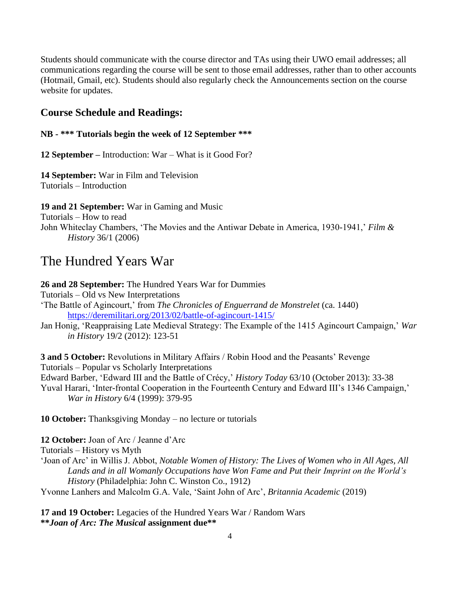Students should communicate with the course director and TAs using their UWO email addresses; all communications regarding the course will be sent to those email addresses, rather than to other accounts (Hotmail, Gmail, etc). Students should also regularly check the Announcements section on the course website for updates.

# **Course Schedule and Readings:**

#### **NB - \*\*\* Tutorials begin the week of 12 September \*\*\***

**12 September –** Introduction: War – What is it Good For?

**14 September:** War in Film and Television Tutorials – Introduction

**19 and 21 September:** War in Gaming and Music

Tutorials – How to read

John Whiteclay Chambers, 'The Movies and the Antiwar Debate in America, 1930-1941,' *Film & History* 36/1 (2006)

# The Hundred Years War

**26 and 28 September:** The Hundred Years War for Dummies

Tutorials – Old vs New Interpretations

- 'The Battle of Agincourt,' from *The Chronicles of Enguerrand de Monstrelet* (ca. 1440) <https://deremilitari.org/2013/02/battle-of-agincourt-1415/>
- Jan Honig, 'Reappraising Late Medieval Strategy: The Example of the 1415 Agincourt Campaign,' *War in History* 19/2 (2012): 123-51

**3 and 5 October:** Revolutions in Military Affairs / Robin Hood and the Peasants' Revenge Tutorials – Popular vs Scholarly Interpretations Edward Barber, 'Edward III and the Battle of Crécy,' *History Today* 63/10 (October 2013): 33-38 Yuval Harari, 'Inter-frontal Cooperation in the Fourteenth Century and Edward III's 1346 Campaign,' *War in History* 6/4 (1999): 379-95

**10 October:** Thanksgiving Monday – no lecture or tutorials

**12 October:** Joan of Arc / Jeanne d'Arc

Tutorials – History vs Myth

'Joan of Arc' in Willis J. Abbot, *Notable Women of History: The Lives of Women who in All Ages, All Lands and in all Womanly Occupations have Won Fame and Put their Imprint on the World's History* (Philadelphia: John C. Winston Co., 1912)

Yvonne Lanhers and Malcolm G.A. Vale, 'Saint John of Arc', *Britannia Academic* (2019)

**17 and 19 October:** Legacies of the Hundred Years War / Random Wars **\*\****Joan of Arc: The Musical* **assignment due\*\***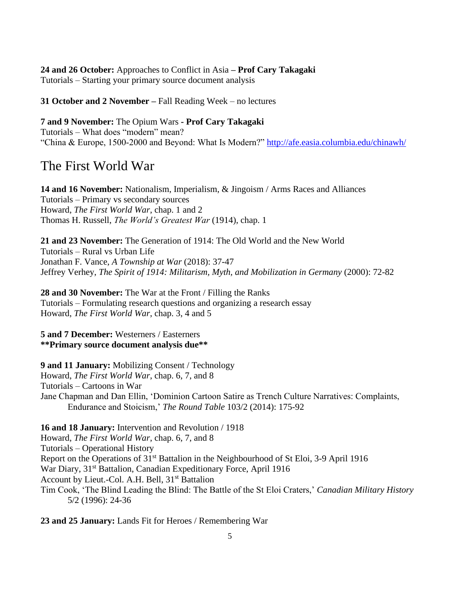## **24 and 26 October:** Approaches to Conflict in Asia **– Prof Cary Takagaki** Tutorials – Starting your primary source document analysis

**31 October and 2 November –** Fall Reading Week – no lectures

### **7 and 9 November:** The Opium Wars **- Prof Cary Takagaki**

Tutorials – What does "modern" mean? "China & Europe, 1500-2000 and Beyond: What Is Modern?"<http://afe.easia.columbia.edu/chinawh/>

# The First World War

**14 and 16 November:** Nationalism, Imperialism, & Jingoism / Arms Races and Alliances Tutorials – Primary vs secondary sources Howard, *The First World War*, chap. 1 and 2 Thomas H. Russell, *The World's Greatest War* (1914), chap. 1

**21 and 23 November:** The Generation of 1914: The Old World and the New World Tutorials – Rural vs Urban Life Jonathan F. Vance, *A Township at War* (2018): 37-47 Jeffrey Verhey, *The Spirit of 1914: Militarism, Myth, and Mobilization in Germany* (2000): 72-82

**28 and 30 November:** The War at the Front / Filling the Ranks Tutorials – Formulating research questions and organizing a research essay Howard, *The First World War*, chap. 3, 4 and 5

## **5 and 7 December:** Westerners / Easterners **\*\*Primary source document analysis due\*\***

**9 and 11 January:** Mobilizing Consent / Technology Howard, *The First World War*, chap. 6, 7, and 8 Tutorials – Cartoons in War Jane Chapman and Dan Ellin, 'Dominion Cartoon Satire as Trench Culture Narratives: Complaints, Endurance and Stoicism,' *The Round Table* 103/2 (2014): 175-92

# **16 and 18 January:** Intervention and Revolution / 1918

Howard, *The First World War*, chap. 6, 7, and 8 Tutorials – Operational History Report on the Operations of 31st Battalion in the Neighbourhood of St Eloi, 3-9 April 1916 War Diary, 31<sup>st</sup> Battalion, Canadian Expeditionary Force, April 1916 Account by Lieut.-Col. A.H. Bell, 31<sup>st</sup> Battalion Tim Cook, 'The Blind Leading the Blind: The Battle of the St Eloi Craters,' *Canadian Military History*  5/2 (1996): 24-36

**23 and 25 January:** Lands Fit for Heroes / Remembering War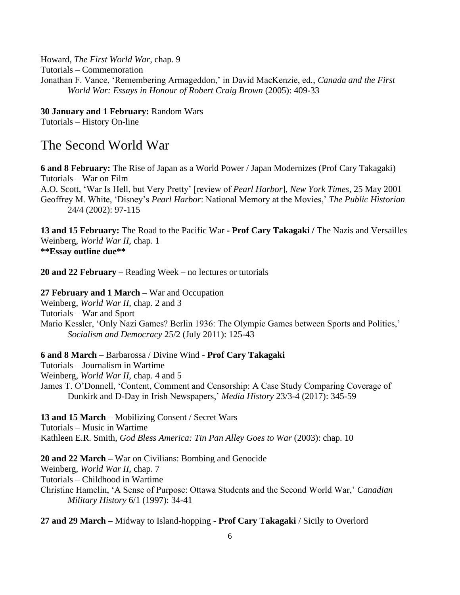Howard, *The First World War*, chap. 9 Tutorials – Commemoration Jonathan F. Vance, 'Remembering Armageddon,' in David MacKenzie, ed., *Canada and the First World War: Essays in Honour of Robert Craig Brown* (2005): 409-33

**30 January and 1 February:** Random Wars Tutorials – History On-line

# The Second World War

**6 and 8 February:** The Rise of Japan as a World Power / Japan Modernizes (Prof Cary Takagaki) Tutorials – War on Film A.O. Scott, 'War Is Hell, but Very Pretty' [review of *Pearl Harbor*], *New York Times*, 25 May 2001 Geoffrey M. White, 'Disney's *Pearl Harbor*: National Memory at the Movies,' *The Public Historian*  24/4 (2002): 97-115

**13 and 15 February:** The Road to the Pacific War **- Prof Cary Takagaki /** The Nazis and Versailles Weinberg, *World War II*, chap. 1 **\*\*Essay outline due\*\***

**20 and 22 February –** Reading Week – no lectures or tutorials

**27 February and 1 March –** War and Occupation Weinberg, *World War II*, chap. 2 and 3 Tutorials – War and Sport Mario Kessler, 'Only Nazi Games? Berlin 1936: The Olympic Games between Sports and Politics,' *Socialism and Democracy* 25/2 (July 2011): 125-43

**6 and 8 March –** Barbarossa / Divine Wind - **Prof Cary Takagaki** Tutorials – Journalism in Wartime Weinberg, *World War II*, chap. 4 and 5 James T. O'Donnell, 'Content, Comment and Censorship: A Case Study Comparing Coverage of Dunkirk and D-Day in Irish Newspapers,' *Media History* 23/3-4 (2017): 345-59

**13 and 15 March** – Mobilizing Consent / Secret Wars Tutorials – Music in Wartime Kathleen E.R. Smith, *God Bless America: Tin Pan Alley Goes to War* (2003): chap. 10

**20 and 22 March –** War on Civilians: Bombing and Genocide Weinberg, *World War II*, chap. 7 Tutorials – Childhood in Wartime Christine Hamelin, 'A Sense of Purpose: Ottawa Students and the Second World War,' *Canadian Military History* 6/1 (1997): 34-41

**27 and 29 March –** Midway to Island-hopping **- Prof Cary Takagaki** / Sicily to Overlord